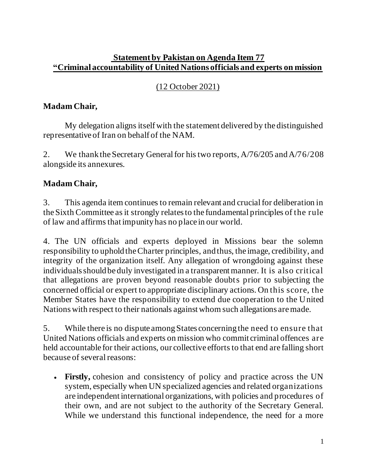#### **Statement by Pakistan on Agenda Item 77 "Criminal accountability of United Nations officials and experts on mission**

## (12 October 2021)

## **Madam Chair,**

My delegation aligns itself with the statement delivered by the distinguished representative of Iran on behalf of the NAM.

2. We thank the Secretary General for his two reports, A/76/205 and A/76/208 alongside its annexures.

# **Madam Chair,**

3. This agenda item continues to remain relevant and crucial for deliberation in the Sixth Committee as it strongly relates to the fundamental principles of the rule of law and affirms that impunity has no place in our world.

4. The UN officials and experts deployed in Missions bear the solemn responsibility to uphold the Charter principles, and thus, the image, credibility, and integrity of the organization itself. Any allegation of wrongdoing against these individuals should be duly investigated in a transparent manner. It is also critical that allegations are proven beyond reasonable doubts prior to subjecting the concerned official or expert to appropriate disciplinary actions. On this score, the Member States have the responsibility to extend due cooperation to the United Nationswith respect to their nationals against whom such allegations are made.

5. While there is no dispute among States concerning the need to ensure that United Nations officials and experts on mission who commit criminal offences are held accountable for their actions, our collective efforts to that end are falling short because of several reasons:

• **Firstly,** cohesion and consistency of policy and practice across the UN system, especially when UN specialized agencies and related organizations are independent international organizations, with policies and procedures of their own, and are not subject to the authority of the Secretary General. While we understand this functional independence, the need for a more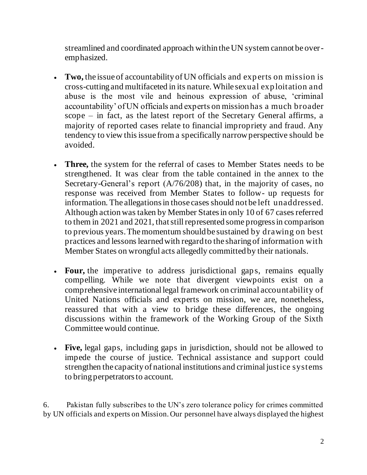streamlined and coordinated approach within the UN system cannot be overemphasized.

- **Two,** the issue of accountability of UN officials and exp erts on mission is cross-cutting and multifaceted in its nature. While sexual exp loitation and abuse is the most vile and heinous expression of abuse, 'criminal accountability' of UN officials and experts on mission has a much broader scope – in fact, as the latest report of the Secretary General affirms, a majority of reported cases relate to financial impropriety and fraud. Any tendency to view this issue from a specifically narrow perspective should be avoided.
- **Three,** the system for the referral of cases to Member States needs to be strengthened. It was clear from the table contained in the annex to the Secretary-General's report (A/76/208) that, in the majority of cases, no response was received from Member States to follow- up requests for information. The allegations in those cases should not be left unaddressed. Although action wastaken by Member States in only 10 of 67 cases referred to them in 2021 and 2021, that still represented some progress in comparison to previous years. The momentum should be sustained by drawing on best practices and lessons learned with regard to the sharing of information with Member States on wrongful acts allegedly committed by their nationals.
- **Four,** the imperative to address jurisdictional gaps, remains equally compelling. While we note that divergent viewpoints exist on a comprehensive international legal framework on criminal accountability of United Nations officials and experts on mission, we are, nonetheless, reassured that with a view to bridge these differences, the ongoing discussions within the framework of the Working Group of the Sixth Committeewould continue.
- **Five,** legal gaps, including gaps in jurisdiction, should not be allowed to impede the course of justice. Technical assistance and support could strengthen the capacity of national institutions and criminal justice systems to bring perpetrators to account.

6. Pakistan fully subscribes to the UN's zero tolerance policy for crimes committed by UN officials and experts on Mission. Our personnel have always displayed the highest